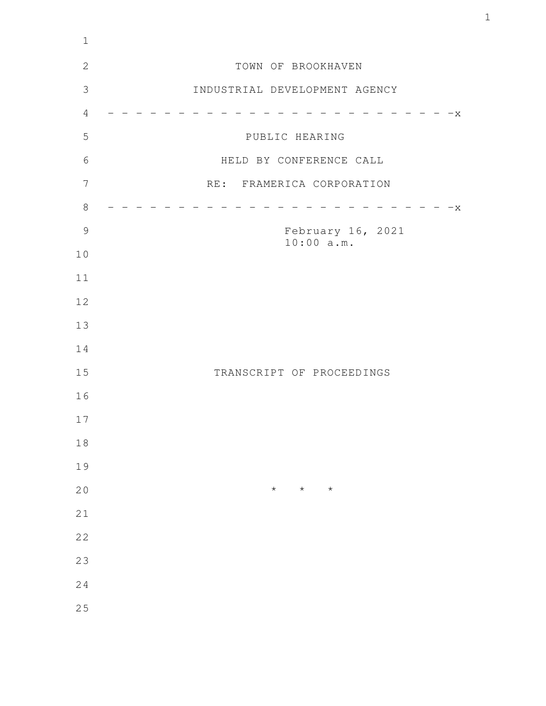| TOWN OF BROOKHAVEN              |
|---------------------------------|
| INDUSTRIAL DEVELOPMENT AGENCY   |
| $-x$                            |
| PUBLIC HEARING                  |
| HELD BY CONFERENCE CALL         |
| RE: FRAMERICA CORPORATION       |
| X                               |
| February 16, 2021<br>10:00 a.m. |
|                                 |
|                                 |
|                                 |
|                                 |
|                                 |
| TRANSCRIPT OF PROCEEDINGS       |
|                                 |
|                                 |
|                                 |
|                                 |
| $\star$<br>$\star$<br>$\star$   |
|                                 |
|                                 |
|                                 |
|                                 |
|                                 |
|                                 |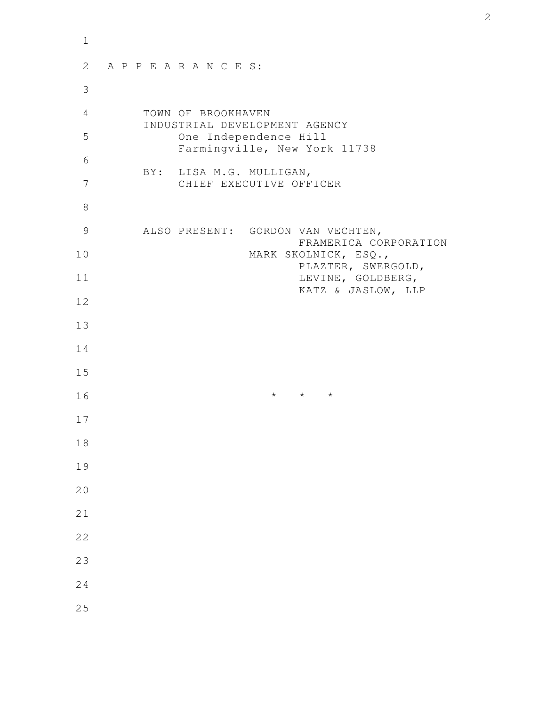| $\mathbf{1}$ |                                                            |
|--------------|------------------------------------------------------------|
| 2            | APPEARANCES:                                               |
| 3            |                                                            |
| 4            | TOWN OF BROOKHAVEN<br>INDUSTRIAL DEVELOPMENT AGENCY        |
| 5            | One Independence Hill<br>Farmingville, New York 11738      |
| 6            | BY: LISA M.G. MULLIGAN,                                    |
| 7            | CHIEF EXECUTIVE OFFICER                                    |
| 8            |                                                            |
| 9            | ALSO PRESENT: GORDON VAN VECHTEN,<br>FRAMERICA CORPORATION |
| 10           | MARK SKOLNICK, ESQ.,<br>PLAZTER, SWERGOLD,                 |
| 11           | LEVINE, GOLDBERG,<br>KATZ & JASLOW, LLP                    |
| 12           |                                                            |
| 13           |                                                            |
| 14           |                                                            |
| 15           |                                                            |
| 16           | $\star$ $\qquad$ $\star$ $\qquad$ $\star$                  |
| 17           |                                                            |
| 18           |                                                            |
| 19           |                                                            |
| 20           |                                                            |
| 21           |                                                            |
| 22           |                                                            |
| 23           |                                                            |
| 24           |                                                            |
| 25           |                                                            |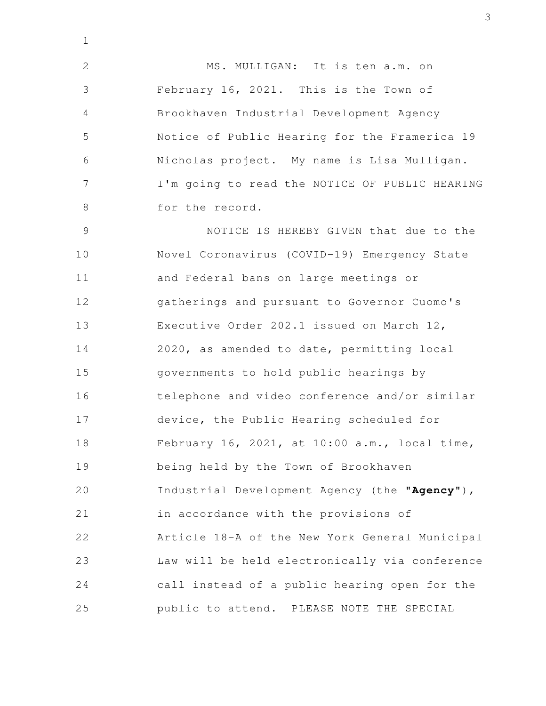MS. MULLIGAN: It is ten a.m. on February 16, 2021. This is the Town of Brookhaven Industrial Development Agency Notice of Public Hearing for the Framerica 19 Nicholas project. My name is Lisa Mulligan. I'm going to read the NOTICE OF PUBLIC HEARING for the record. 2 3 4 5 6 7 8

1

NOTICE IS HEREBY GIVEN that due to the Novel Coronavirus (COVID-19) Emergency State and Federal bans on large meetings or gatherings and pursuant to Governor Cuomo's Executive Order 202.1 issued on March 12, 2020, as amended to date, permitting local governments to hold public hearings by telephone and video conference and/or similar device, the Public Hearing scheduled for February 16, 2021, at 10:00 a.m., local time, being held by the Town of Brookhaven Industrial Development Agency (the "**Agency**"), in accordance with the provisions of Article 18-A of the New York General Municipal Law will be held electronically via conference call instead of a public hearing open for the public to attend. PLEASE NOTE THE SPECIAL 9 10 11 12 13 14 15 16 17 18 19 20 21 22 23 24 25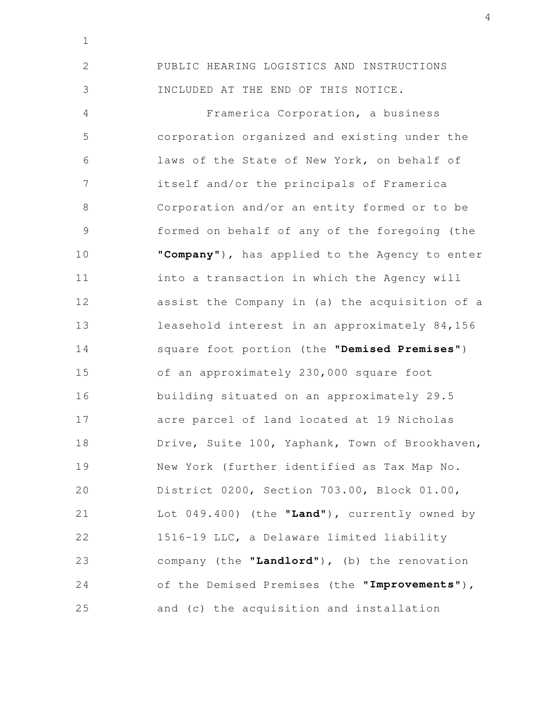PUBLIC HEARING LOGISTICS AND INSTRUCTIONS INCLUDED AT THE END OF THIS NOTICE. 2 3

1

Framerica Corporation, a business corporation organized and existing under the laws of the State of New York, on behalf of itself and/or the principals of Framerica Corporation and/or an entity formed or to be formed on behalf of any of the foregoing (the "**Company**"), has applied to the Agency to enter into a transaction in which the Agency will assist the Company in (a) the acquisition of a leasehold interest in an approximately 84,156 square foot portion (the "**Demised Premises**") of an approximately 230,000 square foot building situated on an approximately 29.5 acre parcel of land located at 19 Nicholas Drive, Suite 100, Yaphank, Town of Brookhaven, New York (further identified as Tax Map No. District 0200, Section 703.00, Block 01.00, Lot 049.400) (the "**Land**"), currently owned by 1516-19 LLC, a Delaware limited liability company (the "**Landlord**"), (b) the renovation of the Demised Premises (the "**Improvements**"), and (c) the acquisition and installation 4 5 6 7 8 9 10 11 12 13 14 15 16 17 18 19 20 21 22 23 24 25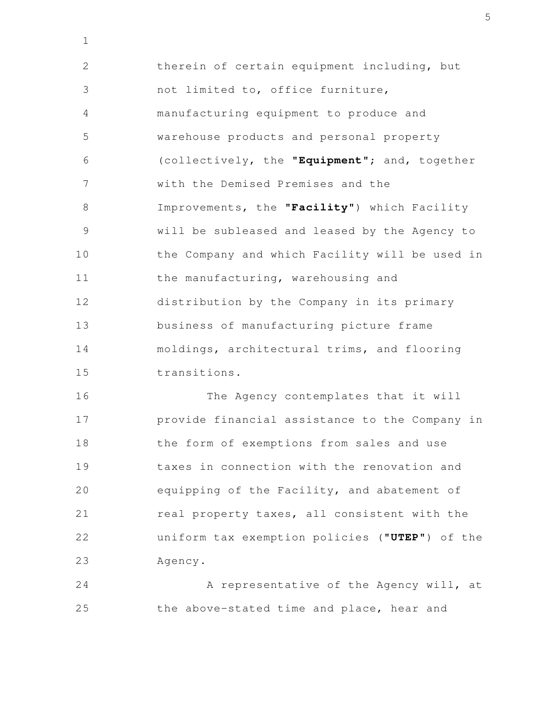therein of certain equipment including, but not limited to, office furniture, manufacturing equipment to produce and warehouse products and personal property (collectively, the "**Equipment**"; and, together with the Demised Premises and the Improvements, the "**Facility**") which Facility will be subleased and leased by the Agency to the Company and which Facility will be used in the manufacturing, warehousing and distribution by the Company in its primary business of manufacturing picture frame moldings, architectural trims, and flooring transitions. 2 3 4 5 6 7 8 9 10 11 12 13 14 15

1

The Agency contemplates that it will provide financial assistance to the Company in the form of exemptions from sales and use taxes in connection with the renovation and equipping of the Facility, and abatement of real property taxes, all consistent with the uniform tax exemption policies ("**UTEP**") of the Agency. 16 17 18 19 20 21 22 23

A representative of the Agency will, at the above-stated time and place, hear and 24 25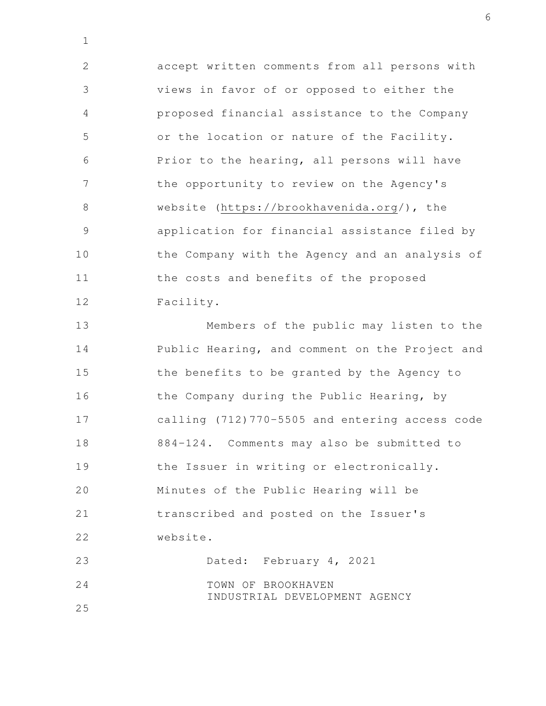accept written comments from all persons with views in favor of or opposed to either the proposed financial assistance to the Company or the location or nature of the Facility. Prior to the hearing, all persons will have the opportunity to review on the Agency's website (https://brookhavenida.org/), the application for financial assistance filed by the Company with the Agency and an analysis of the costs and benefits of the proposed Facility. 2 3 4 5 6 7 8 9 10 11 12

Members of the public may listen to the Public Hearing, and comment on the Project and the benefits to be granted by the Agency to the Company during the Public Hearing, by calling (712)770-5505 and entering access code 884-124. Comments may also be submitted to the Issuer in writing or electronically. Minutes of the Public Hearing will be transcribed and posted on the Issuer's website. Dated: February 4, 2021 TOWN OF BROOKHAVEN INDUSTRIAL DEVELOPMENT AGENCY 13 14 15 16 17 18 19 20 21 22 23 24

25

1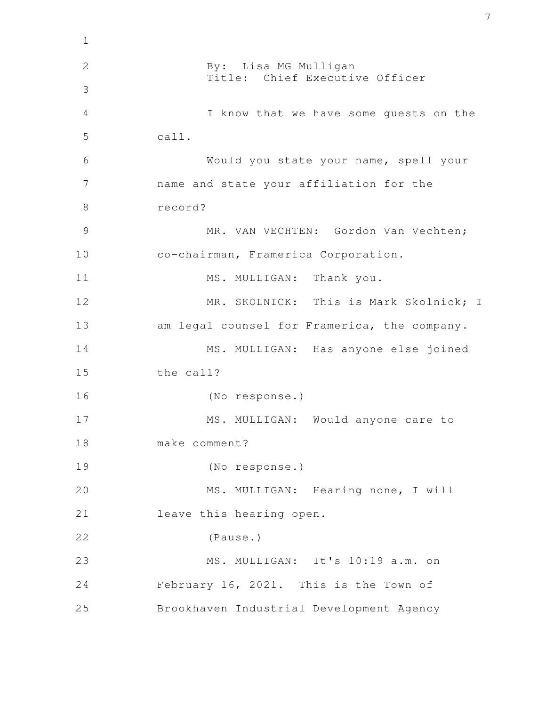| $\mathbf 1$    |                                              |
|----------------|----------------------------------------------|
| $\overline{2}$ | By: Lisa MG Mulligan                         |
| 3              | Title: Chief Executive Officer               |
| 4              | I know that we have some guests on the       |
| 5              | call.                                        |
| 6              | Would you state your name, spell your        |
| 7              | name and state your affiliation for the      |
| 8              | record?                                      |
| 9              | MR. VAN VECHTEN: Gordon Van Vechten;         |
| 10             | co-chairman, Framerica Corporation.          |
| 11             | MS. MULLIGAN: Thank you.                     |
| 12             | MR. SKOLNICK: This is Mark Skolnick; I       |
| 13             | am legal counsel for Framerica, the company. |
| 14             | MS. MULLIGAN: Has anyone else joined         |
| 15             | the call?                                    |
| 16             | (No response.)                               |
| 17             | MS. MULLIGAN: Would anyone care to           |
| 18             | make comment?                                |
| 19             | (No response.)                               |
| 20             | MS. MULLIGAN: Hearing none, I will           |
| 21             | leave this hearing open.                     |
| 22             | (Pause.)                                     |
| 23             | MS. MULLIGAN: It's 10:19 a.m. on             |
| 24             | February 16, 2021. This is the Town of       |
| 25             | Brookhaven Industrial Development Agency     |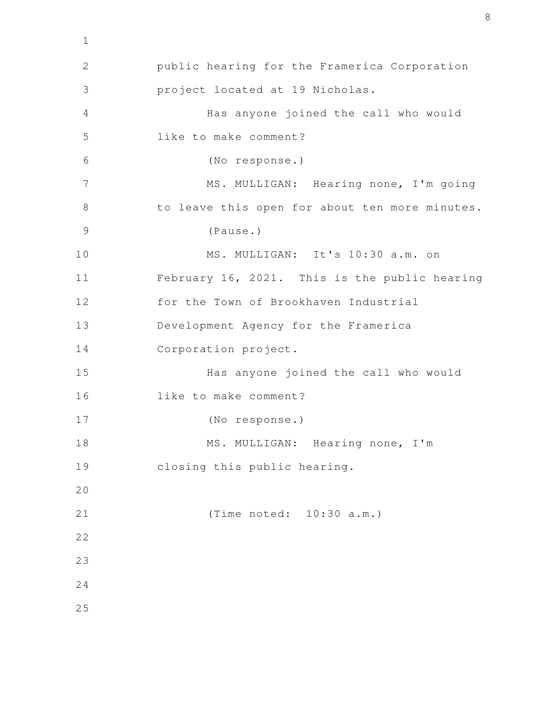public hearing for the Framerica Corporation project located at 19 Nicholas. Has anyone joined the call who would like to make comment? (No response.) MS. MULLIGAN: Hearing none, I'm going to leave this open for about ten more minutes. (Pause.) MS. MULLIGAN: It's 10:30 a.m. on February 16, 2021. This is the public hearing for the Town of Brookhaven Industrial Development Agency for the Framerica Corporation project. Has anyone joined the call who would like to make comment? (No response.) MS. MULLIGAN: Hearing none, I'm closing this public hearing. (Time noted: 10:30 a.m.) 2 3 4 5 6 7 8 9 10 11 12 13 14 15 16 17 18 19 20 21 22 23 24 25

1